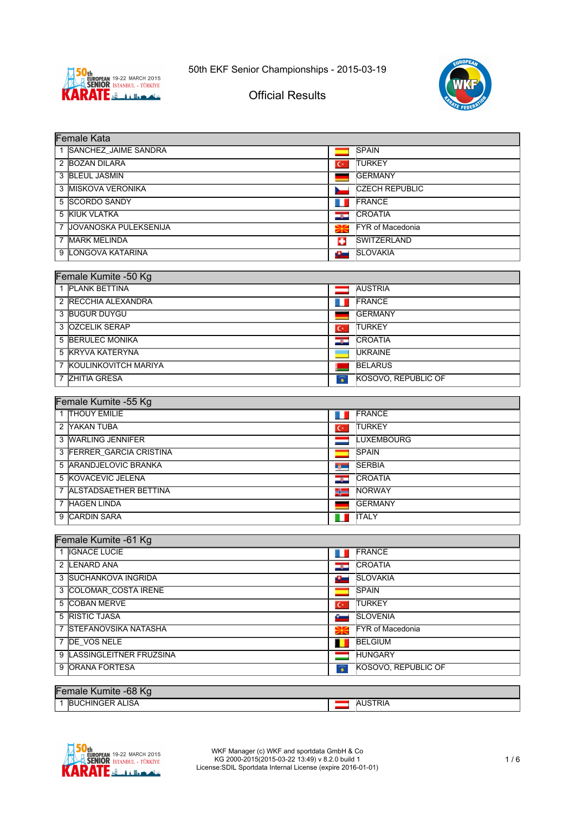



## Official Results

| <b>Female Kata</b>                 |                     |                         |
|------------------------------------|---------------------|-------------------------|
| 1 SANCHEZ JAIME SANDRA             |                     | <b>SPAIN</b>            |
| 2 BOZAN DILARA                     | $C^*$               | <b>TURKEY</b>           |
| 3 BLEUL JASMIN                     |                     | <b>GERMANY</b>          |
| 3 MISKOVA VERONIKA                 |                     | <b>CZECH REPUBLIC</b>   |
| 5 SCORDO SANDY                     |                     | <b>FRANCE</b>           |
| 5 KIUK VLATKA                      | هوك                 | <b>CROATIA</b>          |
| 7 JOVANOSKA PULEKSENIJA            | ⋇                   | <b>FYR of Macedonia</b> |
| 7 MARK MELINDA                     | C.                  | SWITZERLAND             |
| 9 LONGOVA KATARINA                 | æ.                  | <b>SLOVAKIA</b>         |
| Female Kumite -50 Kg               |                     |                         |
| 1 PLANK BETTINA                    |                     | <b>AUSTRIA</b>          |
| 2 RECCHIA ALEXANDRA                |                     | <b>FRANCE</b>           |
| 3 BUGUR DUYGU                      |                     | <b>GERMANY</b>          |
| 3 OZCELIK SERAP                    | $C^*$               | <b>TURKEY</b>           |
| 5 BERULEC MONIKA                   | دود                 | <b>CROATIA</b>          |
| 5 KRYVA KATERYNA                   |                     | <b>UKRAINE</b>          |
| 7 KOULINKOVITCH MARIYA             |                     | <b>BELARUS</b>          |
| 7 ZHITIA GRESA                     | $\widehat{\bullet}$ | KOSOVO, REPUBLIC OF     |
|                                    |                     |                         |
| Female Kumite -55 Kg               |                     |                         |
| 1 THOUY EMILIE                     | . .                 | FRANCE                  |
| 2 YAKAN TUBA<br>3 WARLING JENNIFER | $\overline{C}$      | <b>TURKEY</b>           |
| 3 FERRER_GARCIA CRISTINA           |                     | <b>LUXEMBOURG</b>       |
|                                    |                     | SPAIN                   |
| 5 ARANDJELOVIC BRANKA              | <b>Type:</b>        | <b>SERBIA</b>           |
| <b>5 KOVACEVIC JELENA</b>          | تتوت                | <b>CROATIA</b>          |
| 7 ALSTADSAETHER BETTINA            | ₩                   | NORWAY                  |
| 7 HAGEN LINDA                      |                     | <b>GERMANY</b>          |
| 9 CARDIN SARA                      | ш                   | <b>ITALY</b>            |
| Female Kumite -61 Kg               |                     |                         |
| 1 <b>IGNACE LUCIE</b>              | . .                 | FRANCE                  |
| 2 LENARD ANA                       |                     | <b>CROATIA</b>          |
| 3 SUCHANKOVA INGRIDA               | Ø.                  | <b>SLOVAKIA</b>         |
| 3 COLOMAR_COSTA IRENE              |                     | <b>SPAIN</b>            |
| 5 COBAN MERVE                      | $C^*$               | <b>TURKEY</b>           |
| 5 RISTIC TJASA                     | نست                 | <b>SLOVENIA</b>         |
| 7 STEFANOVSIKA NATASHA             | Ж                   | FYR of Macedonia        |
| 7 DE_VOS NELE                      | Ш                   | <b>BELGIUM</b>          |
| 9 LASSINGLEITNER FRUZSINA          |                     | <b>HUNGARY</b>          |
| 9 ORANA FORTESA                    | $\widehat{\bullet}$ | KOSOVO, REPUBLIC OF     |
|                                    |                     |                         |
| Female Kumite -68 Kg               |                     |                         |
| 1 BUCHINGER ALISA                  | ═                   | <b>AUSTRIA</b>          |

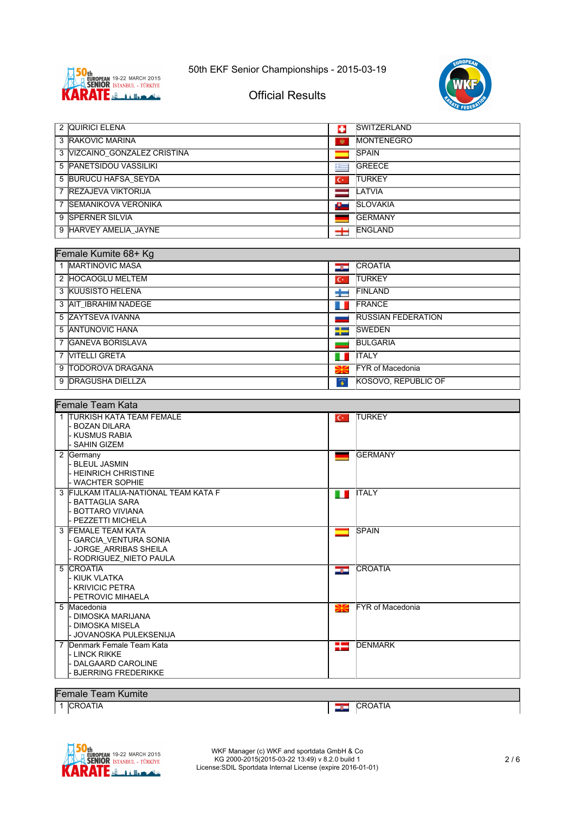



#### Official Results

|             | 2 QUIRICI ELENA                                           | o                   | <b>SWITZERLAND</b>        |
|-------------|-----------------------------------------------------------|---------------------|---------------------------|
|             | 3 RAKOVIC MARINA                                          | 寮                   | <b>MONTENEGRO</b>         |
|             | 3 VIZCAINO GONZALEZ CRISTINA                              |                     | <b>SPAIN</b>              |
|             | <b>5 PANETSIDOU VASSILIKI</b>                             | ≔                   | <b>GREECE</b>             |
|             | 5 BURUCU HAFSA_SEYDA                                      | $C^*$               | <b>TURKEY</b>             |
|             | 7 REZAJEVA VIKTORIJA                                      |                     | LATVIA                    |
|             | 7 SEMANIKOVA VERONIKA                                     | سائك                | <b>SLOVAKIA</b>           |
|             | 9 SPERNER SILVIA                                          |                     | <b>GERMANY</b>            |
|             | 9 HARVEY AMELIA JAYNE                                     | 士                   | <b>ENGLAND</b>            |
|             |                                                           |                     |                           |
|             | Female Kumite 68+ Kg                                      |                     |                           |
|             | 1 MARTINOVIC MASA                                         | - 10                | <b>CROATIA</b>            |
|             | 2 HOCAOGLU MELTEM                                         | $C^*$               | <b>TURKEY</b>             |
|             | 3 KUUSISTO HELENA                                         |                     | <b>FINLAND</b>            |
|             | 3 AIT IBRAHIM NADEGE                                      | n u                 | <b>FRANCE</b>             |
|             | 5 ZAYTSEVA IVANNA                                         |                     | <b>RUSSIAN FEDERATION</b> |
|             | 5 ANTUNOVIC HANA                                          | ₩                   | <b>SWEDEN</b>             |
|             | 7 GANEVA BORISLAVA                                        |                     | <b>BULGARIA</b>           |
|             | <b>7 VITELLI GRETA</b>                                    | 8 H                 | <b>ITALY</b>              |
|             | 9 TODOROVA DRAGANA                                        | ₩                   | <b>FYR of Macedonia</b>   |
|             | 9 DRAGUSHA DIELLZA                                        | $\widehat{\bullet}$ | KOSOVO, REPUBLIC OF       |
|             |                                                           |                     |                           |
|             | <b>Female Team Kata</b>                                   |                     |                           |
| $\mathbf 1$ | <b>ITURKISH KATA TEAM FEMALE</b><br>- BOZAN DILARA        | $C^*$               | <b>TURKEY</b>             |
|             | <b>KUSMUS RABIA</b>                                       |                     |                           |
|             | - SAHIN GIZEM                                             |                     |                           |
|             | 2 Germany<br>- BLEUL JASMIN                               | <b>The Contract</b> | <b>GERMANY</b>            |
|             | - HEINRICH CHRISTINE                                      |                     |                           |
|             | - WACHTER SOPHIE                                          |                     |                           |
|             | 3 FIJLKAM ITALIA-NATIONAL TEAM KATA F<br>- BATTAGLIA SARA | H                   | <b>ITALY</b>              |
|             | <b>BOTTARO VIVIANA</b>                                    |                     |                           |
|             | PEZZETTI MICHELA                                          |                     |                           |
|             | 3 FEMALE TEAM KATA<br><b>GARCIA VENTURA SONIA</b>         | -                   | <b>SPAIN</b>              |
|             | JORGE_ARRIBAS SHEILA                                      |                     |                           |
|             | - RODRIGUEZ_NIETO PAULA                                   |                     |                           |
|             | 5 CROATIA<br>- KIUK VLATKA                                | صوص                 | <b>CROATIA</b>            |
|             | <b>KRIVICIC PETRA</b>                                     |                     |                           |
|             | PETROVIC MIHAELA                                          |                     |                           |
|             | 5 Macedonia<br>DIMOSKA MARIJANA                           | ⋇                   | <b>FYR of Macedonia</b>   |
|             | <b>DIMOSKA MISELA</b>                                     |                     |                           |
|             | JOVANOSKA PULEKSENIJA                                     |                     |                           |
| 7           | Denmark Female Team Kata<br>- LINCK RIKKE                 | 25                  | <b>DENMARK</b>            |
|             | DALGAARD CAROLINE                                         |                     |                           |
|             | <b>BJERRING FREDERIKKE</b>                                |                     |                           |
|             |                                                           |                     |                           |
|             |                                                           |                     |                           |
|             | <b>Female Team Kumite</b><br>1 CROATIA                    | $-\theta$           | CROATIA                   |



WKF Manager (c) WKF and sportdata GmbH & Co KG 2000-2015(2015-03-22 13:49) v 8.2.0 build 1 License:SDIL Sportdata Internal License (expire 2016-01-01)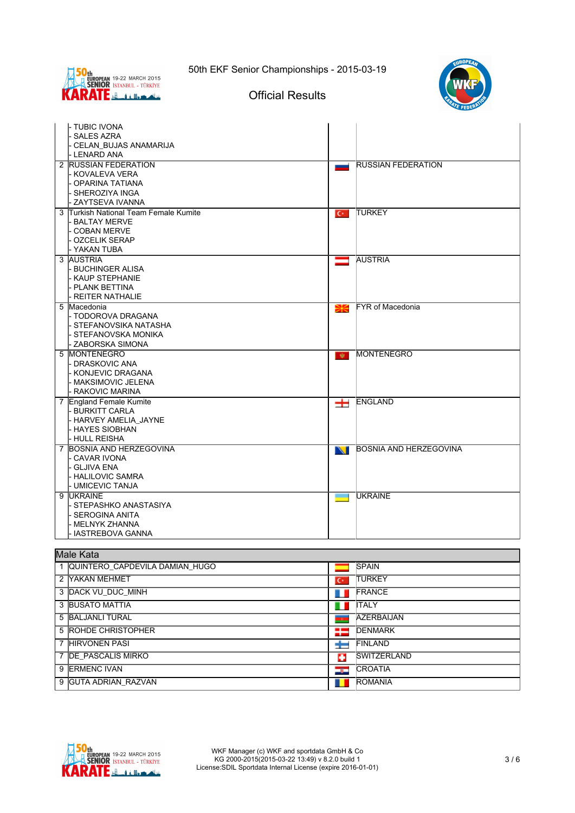

Official Results

|   | <b>TUBIC IVONA</b>                    |                          |                               |
|---|---------------------------------------|--------------------------|-------------------------------|
|   | <b>SALES AZRA</b>                     |                          |                               |
|   | CELAN BUJAS ANAMARIJA                 |                          |                               |
|   | - LENARD ANA                          |                          |                               |
|   | 2 RUSSIAN FEDERATION                  | أحيده                    | <b>RUSSIAN FEDERATION</b>     |
|   | - KOVALEVA VERA                       |                          |                               |
|   | OPARINA TATIANA                       |                          |                               |
|   | SHEROZIYA INGA                        |                          |                               |
|   | - ZAYTSEVA IVANNA                     |                          |                               |
|   | 3 Turkish National Team Female Kumite | $C^*$                    | <b>TURKEY</b>                 |
|   | - BALTAY MERVE                        |                          |                               |
|   | COBAN MERVE                           |                          |                               |
|   | <b>OZCELIK SERAP</b>                  |                          |                               |
|   | - YAKAN TUBA                          |                          |                               |
|   | 3 AUSTRIA                             | $\equiv$                 | <b>AUSTRIA</b>                |
|   | - BUCHINGER ALISA                     |                          |                               |
|   | - KAUP STEPHANIE                      |                          |                               |
|   | - PLANK BETTINA                       |                          |                               |
|   | - REITER NATHALIE                     |                          |                               |
| 5 | Macedonia                             | ₩                        | <b>IFYR of Macedonia</b>      |
|   | - TODOROVA DRAGANA                    |                          |                               |
|   | - STEFANOVSIKA NATASHA                |                          |                               |
|   | STEFANOVSKA MONIKA                    |                          |                               |
|   | ZABORSKA SIMONA                       |                          |                               |
|   | 5 MONTENEGRO                          | 1,592                    | <b>MONTENEGRO</b>             |
|   | - DRASKOVIC ANA                       |                          |                               |
|   | - KONJEVIC DRAGANA                    |                          |                               |
|   | - MAKSIMOVIC JELENA                   |                          |                               |
|   | - RAKOVIC MARINA                      |                          |                               |
|   | 7 England Female Kumite               | $\pm$                    | <b>ENGLAND</b>                |
|   | - BURKITT CARLA                       |                          |                               |
|   | - HARVEY AMELIA JAYNE                 |                          |                               |
|   | - HAYES SIOBHAN                       |                          |                               |
|   | - HULL REISHA                         |                          |                               |
|   | 7 BOSNIA AND HERZEGOVINA              | IN.                      | <b>BOSNIA AND HERZEGOVINA</b> |
|   | - CAVAR IVONA                         |                          |                               |
|   | - GLJIVA ENA                          |                          |                               |
|   | - HALILOVIC SAMRA                     |                          |                               |
|   | - UMICEVIC TANJA                      |                          |                               |
|   | 9 UKRAINE                             | $\overline{\phantom{0}}$ | <b>UKRAINE</b>                |
|   | STEPASHKO ANASTASIYA                  |                          |                               |
|   | SEROGINA ANITA                        |                          |                               |
|   | MELNYK ZHANNA                         |                          |                               |
|   | <b>IASTREBOVA GANNA</b>               |                          |                               |
|   |                                       |                          |                               |

| Male Kata                        |            |                     |
|----------------------------------|------------|---------------------|
| 1 QUINTERO CAPDEVILA DAMIAN HUGO |            | <b>SPAIN</b>        |
| 2 YAKAN MEHMET                   | $C^*$      | <b>ITURKEY</b>      |
| 3 DACK VU DUC MINH               |            | <b>FRANCE</b>       |
| 3 BUSATO MATTIA                  |            | <b>ITALY</b>        |
| 5 BALJANLI TURAL                 | <b>COL</b> | <b>AZERBAIJAN</b>   |
| 5 ROHDE CHRISTOPHER              | ₩          | <b>DENMARK</b>      |
| 7 HIRVONEN PASI                  |            | <b>FINLAND</b>      |
| 7 DE PASCALIS MIRKO              | o          | <b>ISWITZERLAND</b> |
| 9 ERMENC IVAN                    | درت        | <b>CROATIA</b>      |
| 9 GUTA ADRIAN RAZVAN             |            | <b>ROMANIA</b>      |

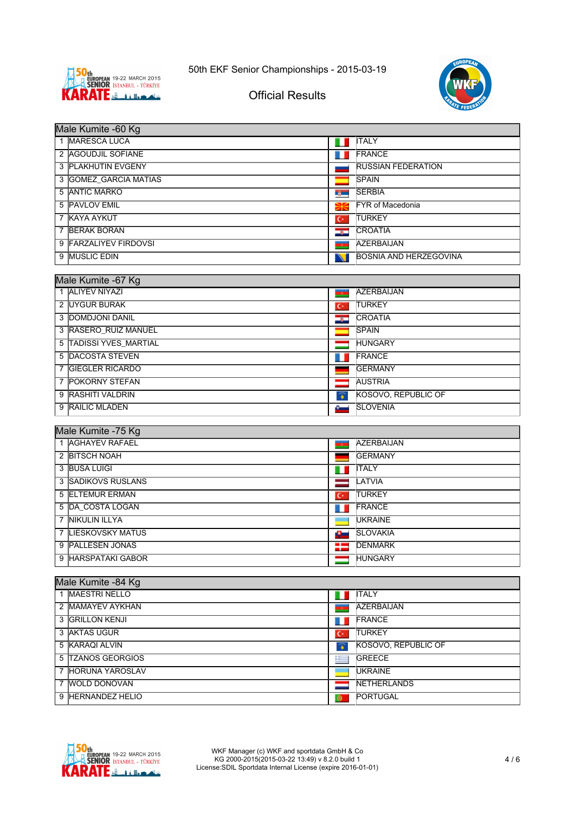



#### Official Results

| Male Kumite -60 Kg                     |                   |                               |
|----------------------------------------|-------------------|-------------------------------|
| 1 MARESCA LUCA                         | n m               | <b>ITALY</b>                  |
| 2 AGOUDJIL SOFIANE                     |                   | FRANCE                        |
| 3 PLAKHUTIN EVGENY                     |                   | <b>RUSSIAN FEDERATION</b>     |
| 3 GOMEZ GARCIA MATIAS                  |                   | SPAIN                         |
| 5 ANTIC MARKO                          | <b>Barnet</b>     | <b>SERBIA</b>                 |
| 5 PAVLOV EMIL                          |                   | FYR of Macedonia              |
| 7 KAYA AYKUT                           | $C^*$             | <b>TURKEY</b>                 |
| 7 BERAK BORAN                          | كوك               | <b>CROATIA</b>                |
| 9 FARZALIYEV FIRDOVSI                  | <b>COM</b>        | AZERBAIJAN                    |
| 9 MUSLIC EDIN                          | N                 | <b>BOSNIA AND HERZEGOVINA</b> |
|                                        |                   |                               |
| Male Kumite - 67 Kg<br>1 ALIYEV NIYAZI |                   |                               |
| 2 UYGUR BURAK                          | <b>CONTRACTOR</b> | AZERBAIJAN<br><b>TURKEY</b>   |
| 3 DOMDJONI DANIL                       | $C^*$             | <b>CROATIA</b>                |
| 3 RASERO_RUIZ MANUEL                   | <u>ian</u>        | <b>SPAIN</b>                  |
| 5 TADISSI YVES MARTIAL                 |                   |                               |
|                                        |                   | <b>HUNGARY</b>                |
| 5 DACOSTA STEVEN                       |                   | <b>FRANCE</b>                 |
| 7 GIEGLER RICARDO                      |                   | <b>GERMANY</b>                |
| 7 POKORNY STEFAN                       |                   | <b>AUSTRIA</b>                |
| 9 RASHITI VALDRIN                      | $\bullet$         | KOSOVO, REPUBLIC OF           |
| 9 RAILIC MLADEN                        | ست                | <b>SLOVENIA</b>               |
| Male Kumite -75 Kg                     |                   |                               |
| 1 AGHAYEV RAFAEL                       |                   | AZERBAIJAN                    |
| 2 BITSCH NOAH                          |                   | <b>GERMANY</b>                |
| 3 BUSA LUIGI                           |                   | <b>ITALY</b>                  |
| 3 SADIKOVS RUSLANS                     |                   | LATVIA                        |
| 5 ELTEMUR ERMAN                        | $\overline{C}$    | <b>TURKEY</b>                 |
| 5 DA COSTA LOGAN                       | 1 D               | FRANCE                        |
| 7 NIKULIN ILLYA                        |                   | <b>UKRAINE</b>                |
| 7 LIESKOVSKY MATUS                     | سائك              | <b>SLOVAKIA</b>               |
| 9 PALLESEN JONAS                       | ÷                 | <b>DENMARK</b>                |
| 9 HARSPATAKI GABOR                     |                   | <b>HUNGARY</b>                |
|                                        |                   |                               |
| Male Kumite -84 Kg                     |                   |                               |
| 1   MAESTRI NELLO                      | H                 | <b>ITALY</b>                  |
| 2 MAMAYEV AYKHAN                       | <b>COMPANY</b>    | <b>AZERBAIJAN</b>             |
| 3 GRILLON KENJI                        | ш                 | FRANCE                        |

3 AKTAS UGUR TURKEY 5 KARAQI ALVIN KOSOVO, REPUBLIC OF 5 TZANOS GEORGIOS **GREECE** 7 HORUNA YAROSLAV UKRAINE 7 WOLD DONOVAN NETHERLANDS 9 HERNANDEZ HELIO **PORTUGAL** 

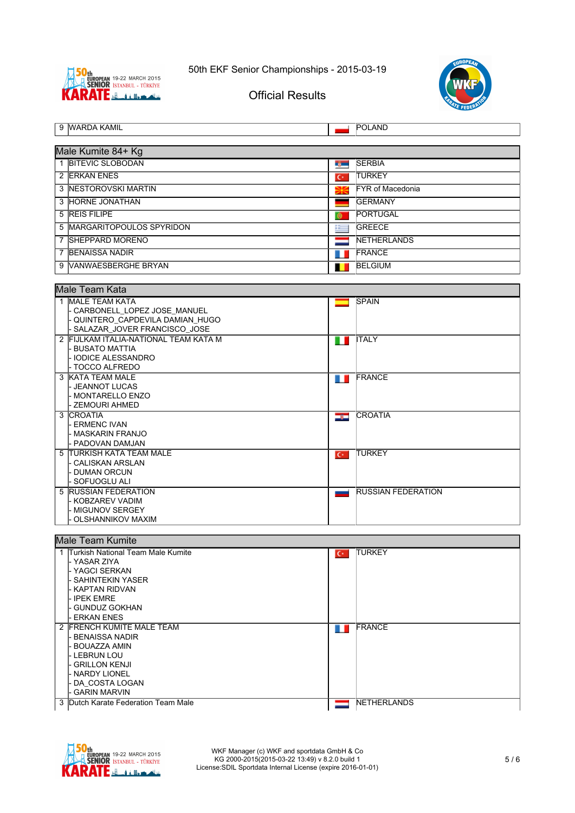



### Official Results

| 9 WARDA KAMIL                                                                                                     |                | <b>POLAND</b>             |
|-------------------------------------------------------------------------------------------------------------------|----------------|---------------------------|
|                                                                                                                   |                |                           |
| Male Kumite 84+ Kg                                                                                                |                |                           |
| 1 BITEVIC SLOBODAN                                                                                                | <b>Barnet</b>  | <b>SERBIA</b>             |
| 2 ERKAN ENES                                                                                                      | $\overline{C}$ | <b>TURKEY</b>             |
| 3 INESTOROVSKI MARTIN                                                                                             |                | <b>FYR of Macedonia</b>   |
| 3 HORNE JONATHAN                                                                                                  |                | <b>GERMANY</b>            |
| 5 REIS FILIPE                                                                                                     | Ō              | PORTUGAL                  |
| 5 MARGARITOPOULOS SPYRIDON                                                                                        |                | GREECE                    |
| 7 SHEPPARD MORENO                                                                                                 |                | <b>NETHERLANDS</b>        |
| 7 BENAISSA NADIR                                                                                                  |                | <b>FRANCE</b>             |
| 9 VANWAESBERGHE BRYAN                                                                                             |                | <b>BELGIUM</b>            |
|                                                                                                                   |                |                           |
| Male Team Kata                                                                                                    |                |                           |
| 1 MALE TEAM KATA<br>CARBONELL LOPEZ JOSE MANUEL<br>QUINTERO CAPDEVILA DAMIAN HUGO<br>SALAZAR JOVER FRANCISCO JOSE |                | <b>SPAIN</b>              |
| 2 FIJLKAM ITALIA-NATIONAL TEAM KATA M<br><b>BUSATO MATTIA</b><br><b>IODICE ALESSANDRO</b><br>TOCCO ALFREDO        | ПП             | <b>ITALY</b>              |
| 3 KATA TEAM MALE<br>- JEANNOT LUCAS<br><b>MONTARELLO ENZO</b><br>- ZEMOURI AHMED                                  | . .            | <b>FRANCE</b>             |
| 3 CROATIA<br>- ERMENC IVAN<br><b>MASKARIN FRANJO</b><br>- PADOVAN DAMJAN                                          | التوات         | <b>CROATIA</b>            |
| 5 TURKISH KATA TEAM MALE<br><b>CALISKAN ARSLAN</b><br><b>DUMAN ORCUN</b><br>SOFUOGLU ALI                          | $C^*$          | <b>TURKEY</b>             |
| 5 RUSSIAN FEDERATION<br>- KOBZAREV VADIM<br><b>MIGUNOV SERGEY</b><br><b>OLSHANNIKOV MAXIM</b>                     |                | <b>RUSSIAN FEDERATION</b> |

#### Male Team Kumite

| 1 Turkish National Team Male Kumite | $\mathbf{C}^*$ | <b>TURKEY</b>       |
|-------------------------------------|----------------|---------------------|
| - YASAR ZIYA                        |                |                     |
| YAGCI SERKAN                        |                |                     |
| - SAHINTEKIN YASER                  |                |                     |
| - KAPTAN RIDVAN                     |                |                     |
| - IPEK EMRE                         |                |                     |
| l- GUNDUZ GOKHAN                    |                |                     |
| <b>ERKAN ENES</b>                   |                |                     |
| 2 FRENCH KUMITE MALE TEAM           |                | <b>IFRANCE</b>      |
| <b>BENAISSA NADIR</b>               |                |                     |
| BOUAZZA AMIN                        |                |                     |
| LEBRUN LOU                          |                |                     |
| GRILLON KENJI .                     |                |                     |
| - NARDY LIONEL                      |                |                     |
| DA COSTA LOGAN                      |                |                     |
| - GARIN MARVIN                      |                |                     |
| 3 Dutch Karate Federation Team Male |                | <b>INETHERLANDS</b> |
|                                     |                |                     |